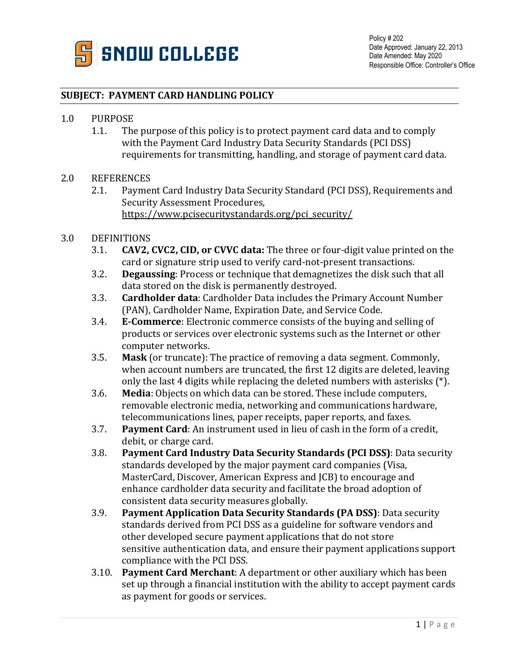

## **SUBJECT: PAYMENT CARD HANDLING POLICY**

## 1.0 PURPOSE<br>1.1. The

The purpose of this policy is to protect payment card data and to comply with the Payment Card Industry Data Security Standards (PCI DSS) requirements for transmitting, handling, and storage of payment card data.

## 2.0 REFERENCES<br>2.1. Pavmer

2.1. Payment Card Industry Data Security Standard (PCI DSS), Requirements and Security Assessment Procedures, [https://www.pcisecuritystandards.org/pci\\_security/](https://www.pcisecuritystandards.org/pci_security/)

## 3.0 DEFINITIONS<br>3.1. **CAV2.**

- 3.1. **CAV2, CVC2, CID, or CVVC data:** The three or four-digit value printed on the card or signature strip used to verify card-not-present transactions.
- 3.2. **Degaussing**: Process or technique that demagnetizes the disk such that all data stored on the disk is permanently destroyed.
- 3.3. **Cardholder data**: Cardholder Data includes the Primary Account Number (PAN), Cardholder Name, Expiration Date, and Service Code.
- 3.4. **E‐Commerce**: Electronic commerce consists of the buying and selling of products or services over electronic systems such as the Internet or other computer networks.
- 3.5. **Mask** (or truncate): The practice of removing a data segment. Commonly, when account numbers are truncated, the first 12 digits are deleted, leaving only the last 4 digits while replacing the deleted numbers with asterisks (\*).
- 3.6. **Media**: Objects on which data can be stored. These include computers, removable electronic media, networking and communications hardware, telecommunications lines, paper receipts, paper reports, and faxes.
- 3.7. **Payment Card**: An instrument used in lieu of cash in the form of a credit, debit, or charge card.
- 3.8. **Payment Card Industry Data Security Standards (PCI DSS)**: Data security standards developed by the major payment card companies (Visa, MasterCard, Discover, American Express and JCB) to encourage and enhance cardholder data security and facilitate the broad adoption of consistent data security measures globally.
- 3.9. **Payment Application Data Security Standards (PA DSS)**: Data security standards derived from PCI DSS as a guideline for software vendors and other developed secure payment applications that do not store sensitive authentication data, and ensure their payment applications support compliance with the PCI DSS.
- 3.10. **Payment Card Merchant**: A department or other auxiliary which has been set up through a financial institution with the ability to accept payment cards as payment for goods or services.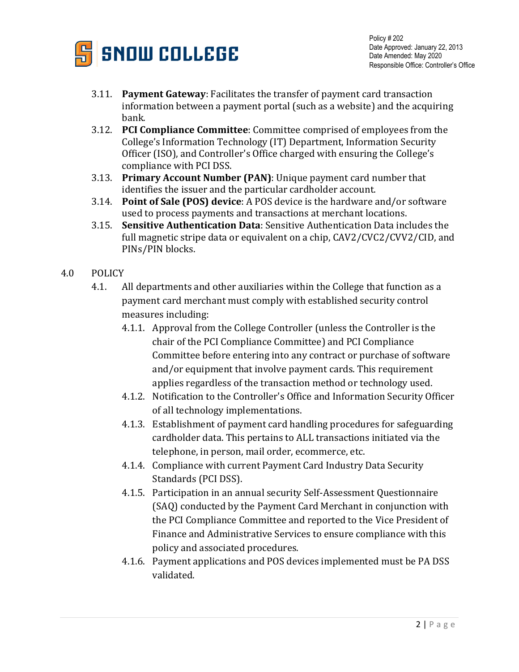

- 3.11. **Payment Gateway**: Facilitates the transfer of payment card transaction information between a payment portal (such as a website) and the acquiring bank.
- 3.12. **PCI Compliance Committee**: Committee comprised of employees from the College's Information Technology (IT) Department, Information Security Officer (ISO), and Controller's Office charged with ensuring the College's compliance with PCI DSS.
- 3.13. **Primary Account Number (PAN)**: Unique payment card number that identifies the issuer and the particular cardholder account.
- 3.14. **Point of Sale (POS) device**: A POS device is the hardware and/or software used to process payments and transactions at merchant locations.
- 3.15. **Sensitive Authentication Data**: Sensitive Authentication Data includes the full magnetic stripe data or equivalent on a chip, CAV2/CVC2/CVV2/CID, and PINs/PIN blocks.
- 4.0 POLICY
	- 4.1. All departments and other auxiliaries within the College that function as a payment card merchant must comply with established security control measures including:
		- 4.1.1. Approval from the College Controller (unless the Controller is the chair of the PCI Compliance Committee) and PCI Compliance Committee before entering into any contract or purchase of software and/or equipment that involve payment cards. This requirement applies regardless of the transaction method or technology used.
		- 4.1.2. Notification to the Controller's Office and Information Security Officer of all technology implementations.
		- 4.1.3. Establishment of payment card handling procedures for safeguarding cardholder data. This pertains to ALL transactions initiated via the telephone, in person, mail order, ecommerce, etc.
		- 4.1.4. Compliance with current Payment Card Industry Data Security Standards (PCI DSS).
		- 4.1.5. Participation in an annual security Self-Assessment Questionnaire (SAQ) conducted by the Payment Card Merchant in conjunction with the PCI Compliance Committee and reported to the Vice President of Finance and Administrative Services to ensure compliance with this policy and associated procedures.
		- 4.1.6. Payment applications and POS devices implemented must be PA DSS validated.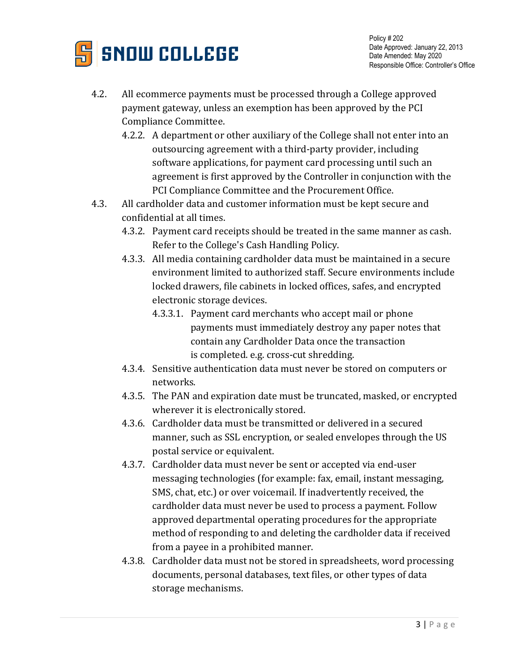

- 4.2. All ecommerce payments must be processed through a College approved payment gateway, unless an exemption has been approved by the PCI Compliance Committee.
	- 4.2.2. A department or other auxiliary of the College shall not enter into an outsourcing agreement with a third-party provider, including software applications, for payment card processing until such an agreement is first approved by the Controller in conjunction with the PCI Compliance Committee and the Procurement Office.
- 4.3. All cardholder data and customer information must be kept secure and confidential at all times.
	- 4.3.2. Payment card receipts should be treated in the same manner as cash. Refer to the College's Cash Handling Policy.
	- 4.3.3. All media containing cardholder data must be maintained in a secure environment limited to authorized staff. Secure environments include locked drawers, file cabinets in locked offices, safes, and encrypted electronic storage devices.
		- 4.3.3.1. Payment card merchants who accept mail or phone payments must immediately destroy any paper notes that contain any Cardholder Data once the transaction is completed. e.g. cross-cut shredding.
	- 4.3.4. Sensitive authentication data must never be stored on computers or networks.
	- 4.3.5. The PAN and expiration date must be truncated, masked, or encrypted wherever it is electronically stored.
	- 4.3.6. Cardholder data must be transmitted or delivered in a secured manner, such as SSL encryption, or sealed envelopes through the US postal service or equivalent.
	- 4.3.7. Cardholder data must never be sent or accepted via end-user messaging technologies (for example: fax, email, instant messaging, SMS, chat, etc.) or over voicemail. If inadvertently received, the cardholder data must never be used to process a payment. Follow approved departmental operating procedures for the appropriate method of responding to and deleting the cardholder data if received from a payee in a prohibited manner.
	- 4.3.8. Cardholder data must not be stored in spreadsheets, word processing documents, personal databases, text files, or other types of data storage mechanisms.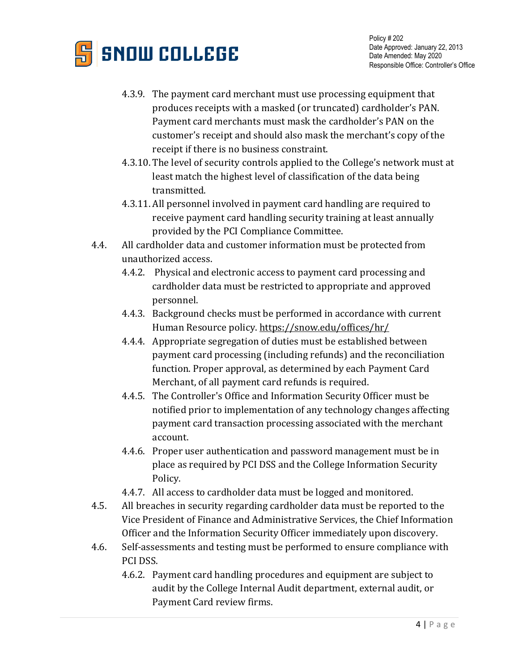

- 4.3.9. The payment card merchant must use processing equipment that produces receipts with a masked (or truncated) cardholder's PAN. Payment card merchants must mask the cardholder's PAN on the customer's receipt and should also mask the merchant's copy of the receipt if there is no business constraint.
- 4.3.10. The level of security controls applied to the College's network must at least match the highest level of classification of the data being transmitted.
- 4.3.11. All personnel involved in payment card handling are required to receive payment card handling security training at least annually provided by the PCI Compliance Committee.
- 4.4. All cardholder data and customer information must be protected from unauthorized access.
	- 4.4.2. Physical and electronic access to payment card processing and cardholder data must be restricted to appropriate and approved personnel.
	- 4.4.3. Background checks must be performed in accordance with current Human Resource policy.<https://snow.edu/offices/hr/>
	- 4.4.4. Appropriate segregation of duties must be established between payment card processing (including refunds) and the reconciliation function. Proper approval, as determined by each Payment Card Merchant, of all payment card refunds is required.
	- 4.4.5. The Controller's Office and Information Security Officer must be notified prior to implementation of any technology changes affecting payment card transaction processing associated with the merchant account.
	- 4.4.6. Proper user authentication and password management must be in place as required by PCI DSS and the College Information Security Policy.
	- 4.4.7. All access to cardholder data must be logged and monitored.
- 4.5. All breaches in security regarding cardholder data must be reported to the Vice President of Finance and Administrative Services, the Chief Information Officer and the Information Security Officer immediately upon discovery.
- 4.6. Self-assessments and testing must be performed to ensure compliance with PCI DSS.
	- 4.6.2. Payment card handling procedures and equipment are subject to audit by the College Internal Audit department, external audit, or Payment Card review firms.